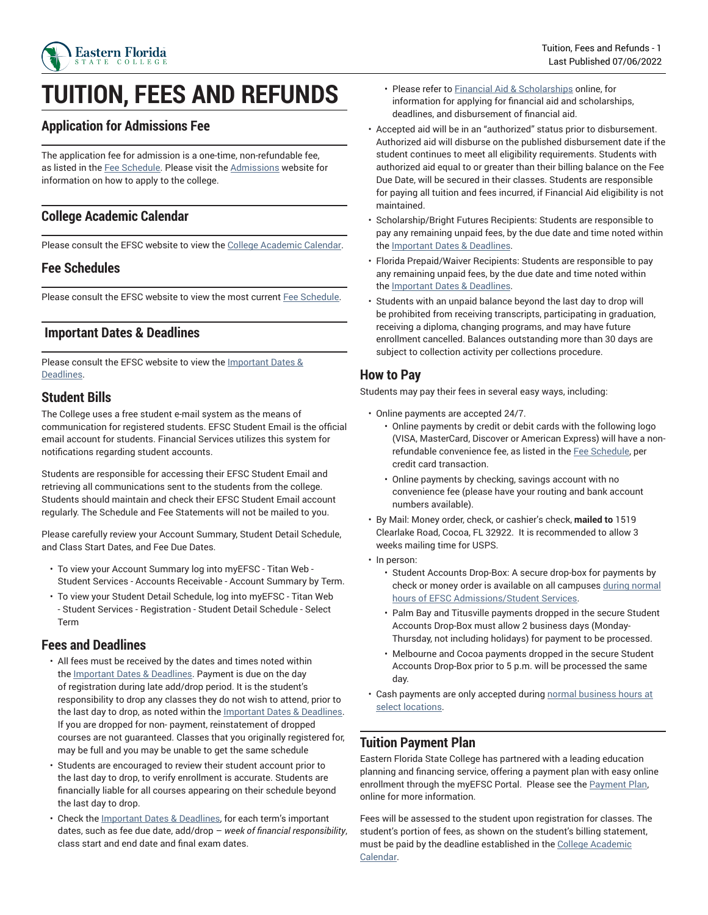

## **TUITION, FEES AND REFUNDS**

## **Application for Admissions Fee**

The application fee for admission is a one-time, non-refundable fee, as listed in the Fee [Schedule.](https://www.easternflorida.edu/admissions/tuition-and-fees/fee-schedules.cfm) Please visit the [Admissions](https://www.easternflorida.edu/admissions/) website for information on how to apply to the college.

#### **College Academic Calendar**

Please consult the EFSC website to view the [College Academic Calendar](https://www.easternflorida.edu/academics/academic-calendars/).

#### **Fee Schedules**

Please consult the EFSC website to view the most current Fee [Schedule](https://www.easternflorida.edu/admissions/tuition-and-fees/fee-schedules.cfm).

#### **Important Dates & Deadlines**

Please consult the EFSC website to view the **[Important](https://www.easternflorida.edu/academics/academic-calendars/important-term-dates/) Dates &** [Deadlines](https://www.easternflorida.edu/academics/academic-calendars/important-term-dates/).

#### **Student Bills**

The College uses a free student e-mail system as the means of communication for registered students. EFSC Student Email is the official email account for students. Financial Services utilizes this system for notifications regarding student accounts.

Students are responsible for accessing their EFSC Student Email and retrieving all communications sent to the students from the college. Students should maintain and check their EFSC Student Email account regularly. The Schedule and Fee Statements will not be mailed to you.

Please carefully review your Account Summary, Student Detail Schedule, and Class Start Dates, and Fee Due Dates.

- To view your Account Summary log into myEFSC Titan Web Student Services - Accounts Receivable - Account Summary by Term.
- To view your Student Detail Schedule, log into myEFSC Titan Web - Student Services - Registration - Student Detail Schedule - Select Term

#### **Fees and Deadlines**

- All fees must be received by the dates and times noted within the **Important Dates & [Deadlines](https://www.easternflorida.edu/academics/academic-calendars/important-term-dates/)**. Payment is due on the day of registration during late add/drop period. It is the student's responsibility to drop any classes they do not wish to attend, prior to the last day to drop, as noted within the **[Important](https://www.easternflorida.edu/academics/academic-calendars/important-term-dates/) Dates & Deadlines**. If you are dropped for non- payment, reinstatement of dropped courses are not guaranteed. Classes that you originally registered for, may be full and you may be unable to get the same schedule
- Students are encouraged to review their student account prior to the last day to drop, to verify enrollment is accurate. Students are financially liable for all courses appearing on their schedule beyond the last day to drop.
- Check the [Important](https://www.easternflorida.edu/academics/academic-calendars/important-term-dates/) Dates & Deadlines, for each term's important dates, such as fee due date, add/drop – *week of financial responsibility*, class start and end date and final exam dates.
- Please refer to [Financial Aid & Scholarships](https://www.easternflorida.edu/admissions/financial-aid-scholarships/) online, for information for applying for financial aid and scholarships, deadlines, and disbursement of financial aid.
- Accepted aid will be in an "authorized" status prior to disbursement. Authorized aid will disburse on the published disbursement date if the student continues to meet all eligibility requirements. Students with authorized aid equal to or greater than their billing balance on the Fee Due Date, will be secured in their classes. Students are responsible for paying all tuition and fees incurred, if Financial Aid eligibility is not maintained.
- Scholarship/Bright Futures Recipients: Students are responsible to pay any remaining unpaid fees, by the due date and time noted within the Important Dates & [Deadlines.](https://www.easternflorida.edu/academics/academic-calendars/important-term-dates/)
- Florida Prepaid/Waiver Recipients: Students are responsible to pay any remaining unpaid fees, by the due date and time noted within the Important Dates & [Deadlines.](https://www.easternflorida.edu/academics/academic-calendars/important-term-dates/)
- Students with an unpaid balance beyond the last day to drop will be prohibited from receiving transcripts, participating in graduation, receiving a diploma, changing programs, and may have future enrollment cancelled. Balances outstanding more than 30 days are subject to collection activity per collections procedure.

#### **How to Pay**

Students may pay their fees in several easy ways, including:

- Online payments are accepted 24/7.
	- Online payments by credit or debit cards with the following logo (VISA, MasterCard, Discover or American Express) will have a nonrefundable convenience fee, as listed in the Fee [Schedule](https://www.easternflorida.edu/admissions/tuition-and-fees/fee-schedules.cfm), per credit card transaction.
	- Online payments by checking, savings account with no convenience fee (please have your routing and bank account numbers available).
- By Mail: Money order, check, or cashier's check, **mailed to** 1519 Clearlake Road, Cocoa, FL 32922. It is recommended to allow 3 weeks mailing time for USPS.
- In person:
	- Student Accounts Drop-Box: A secure drop-box for payments by check or money order is available on all campuses [during normal](https://www.easternflorida.edu/admissions/admissions-contacts.cfm) hours of EFSC [Admissions/Student](https://www.easternflorida.edu/admissions/admissions-contacts.cfm) Services.
	- Palm Bay and Titusville payments dropped in the secure Student Accounts Drop-Box must allow 2 business days (Monday-Thursday, not including holidays) for payment to be processed.
	- Melbourne and Cocoa payments dropped in the secure Student Accounts Drop-Box prior to 5 p.m. will be processed the same day.
- Cash payments are only accepted during [normal business hours at](https://www.easternflorida.edu/admissions/tuition-and-fees/how-to-pay.cfm) [select locations](https://www.easternflorida.edu/admissions/tuition-and-fees/how-to-pay.cfm).

## **Tuition Payment Plan**

Eastern Florida State College has partnered with a leading education planning and financing service, offering a payment plan with easy online enrollment through the myEFSC Portal. Please see the [Payment](https://www.easternflorida.edu/admissions/tuition-and-fees/payment-plan.cfm) Plan, online for more information.

Fees will be assessed to the student upon registration for classes. The student's portion of fees, as shown on the student's billing statement, must be paid by the deadline established in the [College Academic](https://www.easternflorida.edu/academics/academic-calendars/) [Calendar](https://www.easternflorida.edu/academics/academic-calendars/).